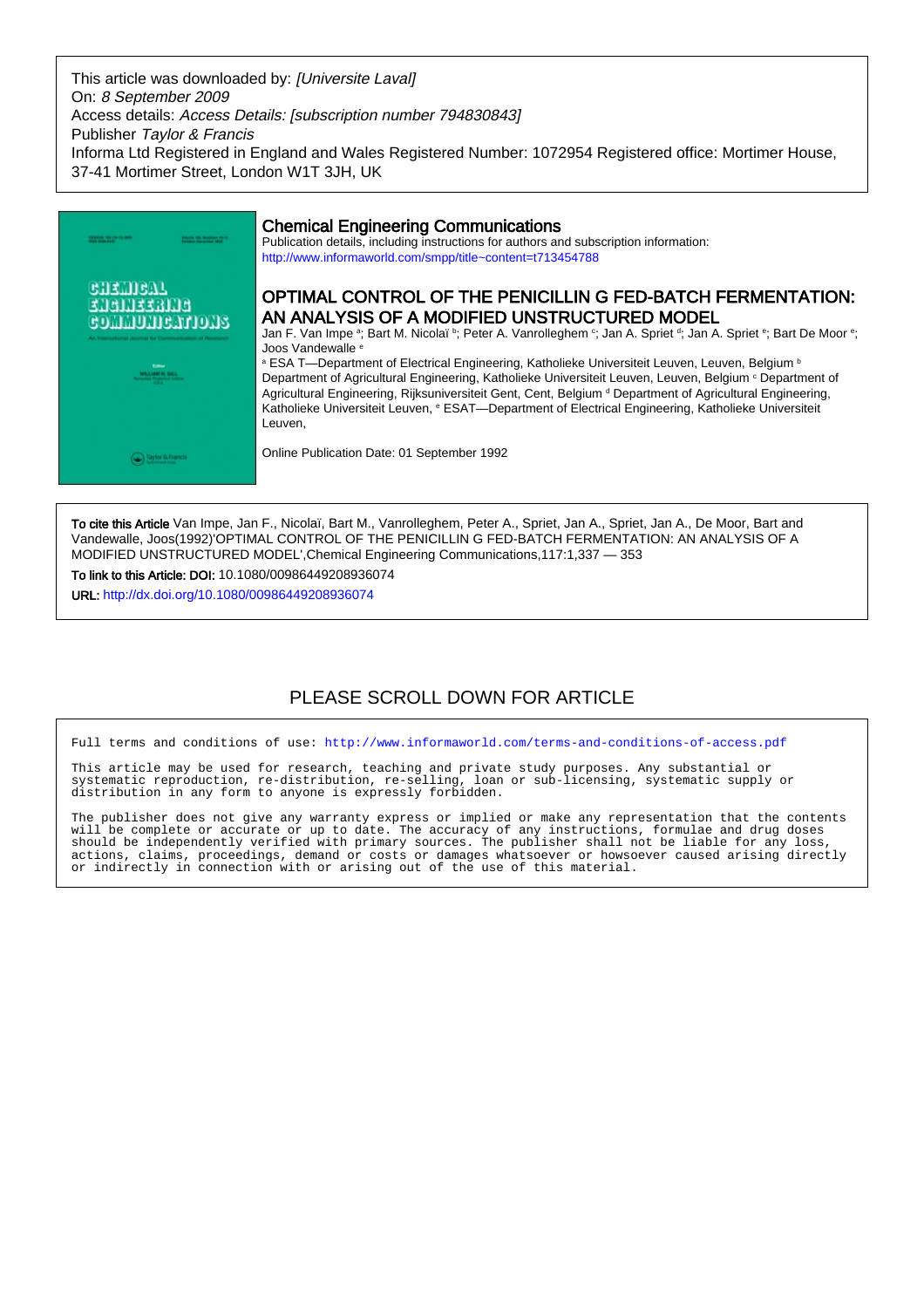This article was downloaded by: [Universite Laval] On: 8 September 2009 Access details: Access Details: [subscription number 794830843] Publisher Taylor & Francis Informa Ltd Registered in England and Wales Registered Number: 1072954 Registered office: Mortimer House, 37-41 Mortimer Street, London W1T 3JH, UK



To cite this Article Van Impe, Jan F., Nicolaï, Bart M., Vanrolleghem, Peter A., Spriet, Jan A., Spriet, Jan A., De Moor, Bart and Vandewalle, Joos(1992)'OPTIMAL CONTROL OF THE PENICILLIN G FED-BATCH FERMENTATION: AN ANALYSIS OF A MODIFIED UNSTRUCTURED MODEL',Chemical Engineering Communications,117:1,337 — 353

To link to this Article: DOI: 10.1080/00986449208936074

URL: <http://dx.doi.org/10.1080/00986449208936074>

# PLEASE SCROLL DOWN FOR ARTICLE

Full terms and conditions of use:<http://www.informaworld.com/terms-and-conditions-of-access.pdf>

This article may be used for research, teaching and private study purposes. Any substantial or systematic reproduction, re-distribution, re-selling, loan or sub-licensing, systematic supply or distribution in any form to any order of the systematic reproduction, re-distribution, re-selling, loan<br>distribution in any form to anyone is expressly forbidden.

The publisher does not give any warranty express or implied or make any representation that the contents will be complete or accurate or up to date. The accuracy of any instructions, formulae and drug doses should be independently verified with primary sources. The publisher shall not be liable for any loss, actions, claims, proceedings, demand or costs or damages whatsoever or howsoever caused arising directly or indirectly in connection with or arising out of the use of this material.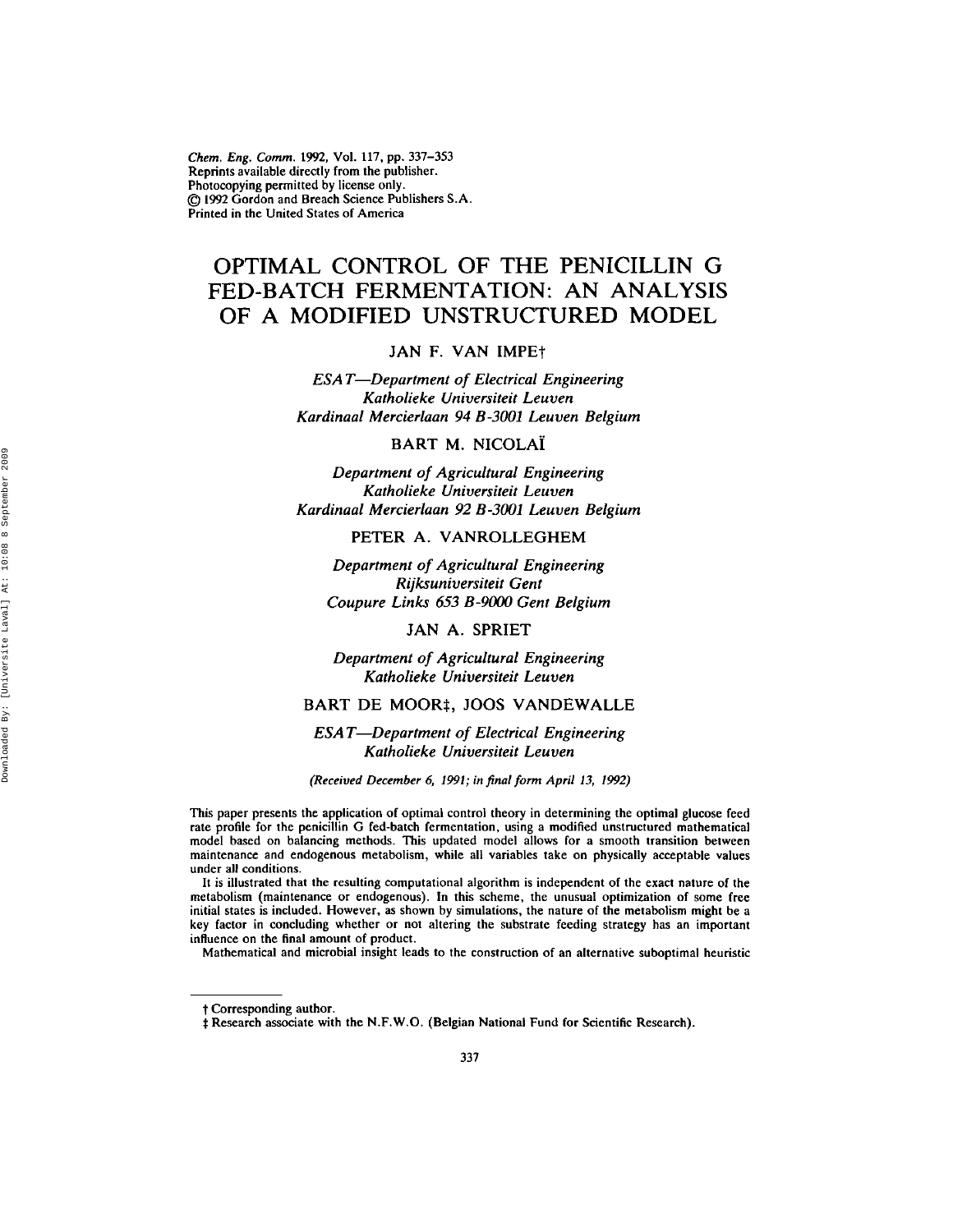*Chem. Eng. Comm.* 1992, Vol. 117, pp. 337-353 Reprints available directly from the publisher. Photocopying permitted by license only. © 1992Gordon and Breach Science Publishers S.A. Printed in the United States of America

# OPTIMAL CONTROL OF THE PENICILLIN G FED-BATCH FERMENTATION: AN ANALYSIS OF A MODIFIED UNSTRUCTURED MODEL

# JAN F. VAN IMPEt

*ESA T-Department of Electrical Engineering Katholieke Universiteit Leuven Kardinaal Mercierlaan* 94 *B-3001 Leuven Belgium*

### BART M. NICOLAI

*Department of Agricultural Engineering Katholieke Universiteit Leuven Kardinaal Mercierlaan* 92 *B-3OO1 Leuven Belgium*

PETER A. VANROLLEGHEM

*Department of Agricultural Engineering Rijksuniversiteit Gent Coupure Links* 653 *B -9000 Gent Belgium*

JAN A. SPRIET

*Department of Agricultural Engineering Katholieke Universiteit Leuven*

# BART DE MOORt, JOOS VANDEWALLE

# *ESA T-Department of Electrical Engineering Katholieke Universiteit Leuven*

*(Received December* 6, 1991; *in final form April* 13, 1992)

This paper presents the application of optimal control theory in determining the optimal glucose feed rate profile for the penicillin G fed-batch fermentation, using a modified unstructured mathematical model based on balancing methods. This updated model allows for a smooth transition between maintenance and endogenous metabolism, while all variables take on physically acceptable values under all conditions.

It is illustrated that the resulting computational algorithm is independent of the exact nature of the metabolism (maintenance or endogenous). In this scheme, the unusual optimization nf some free **initial states is included. However. as shown by simulations, the nature of the metabolism might be a** key factor in concluding whether or not altering the substrate feeding strategy has an important influence on the final amount of product.

Mathematical and microbial insight leads to the construction of an alternative suboptimal heuristic

<sup>†</sup> Corresponding author.<br>‡ Research associate with the N.F.W.O. (Belgian National Fund for Scientific Research).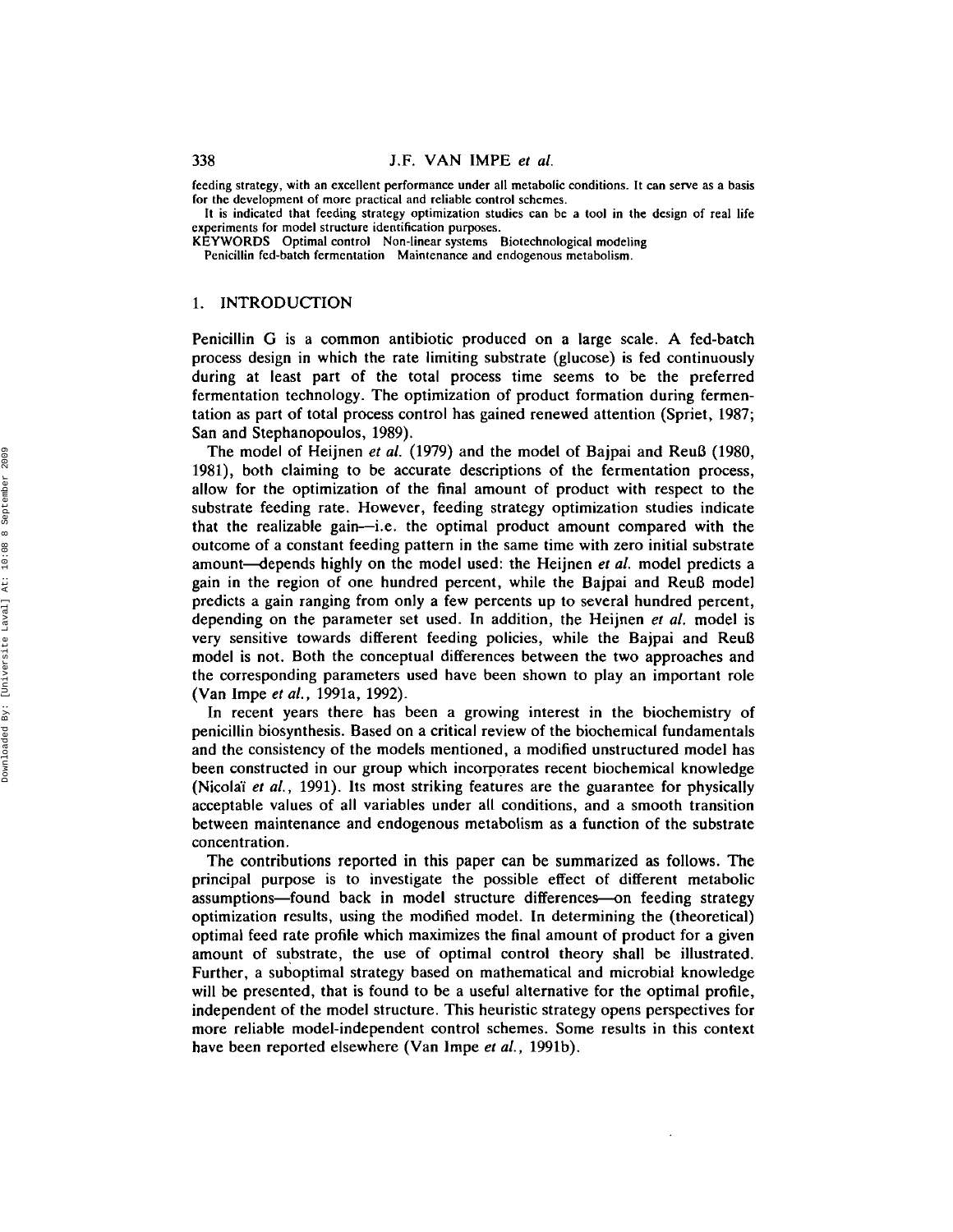feeding strategy, with an excellent performance under all metabolic conditions. It can serve as a basis for the development of more practical and reliable control schemes.

It is indicated that feeding strategy optimization studies can be a tool in the design of real life **experiments for model structure identification purposes.**

KEYWORDS Optimal control Non-linear systems Biotechnological modeling

Penicillin fed-batch fermentation Maintenance and endogenous metabolism.

# I. INTRODUCfION

Penicillin G is a common antibiotic produced on a large scale. A fed-batch process design in which the rate limiting substrate (glucose) is fed continuously during at least part of the total process time seems to be the preferred fermentation technology. The optimization of product formation during fermentation as part of total process control has gained renewed attention (Spriet, 1987; San and Stephanopoulos, 1989).

The model of Heijnen *et al.* (1979) and the model of Bajpai and ReuB (1980, 1981), both claiming to be accurate descriptions of the fermentation process, allow for the optimization of the final amount of product with respect to the substrate feeding rate. However, feeding strategy optimization studies indicate that the realizable gain-i.e. the optimal product amount compared with the outcome of a constant feeding pattern in the same time with zero initial substrate amount—depends highly on the model used: the Heijnen *et al.* model predicts a gain in the region of one hundred percent, while the Bajpai and ReuB model predicts a gain ranging from only a few percents up to several hundred percent, depending on the parameter set used. **In** addition, the Heijnen *et al.* model is very sensitive towards different feeding policies, while the Bajpai and ReuB model is not. Both the conceptual differences between the two approaches and the corresponding parameters used have been shown to play an important role (Van Impe *et al.,* 1991a, 1992).

**In** recent years there has been a growing interest in the biochemistry of penicillin biosynthesis. Based on a critical review of the biochemical fundamentals and the consistency of the models mentioned, a modified unstructured model has been constructed in our group which incorporates recent biochemical knowledge (Nicolai *et al.,* 1991). Its most striking features are the guarantee for physically acceptable values of all variables under all conditions, and a smooth transition between maintenance and endogenous metabolism as a function of the substrate concentration.

The contributions reported in this paper can be summarized as follows. The principal purpose is to investigate the possible effect of different metabolic assumptions-found back in model structure differences--on feeding strategy optimization results, using the modified model. **In** determining the (theoretical) optimal feed rate profile which maximizes the final amount of product for a given amount of substrate, the use of optimal control theory shall be illustrated. Further, a suboptimal strategy based on mathematical and microbial knowledge will be presented, that is found to be a useful alternative for the optimal profile, independent of the model structure. This heuristic strategy opens perspectives for more reliable model-independent control schemes. Some results in this context have been reported elsewhere (Van Impe *et al.,* 1991b).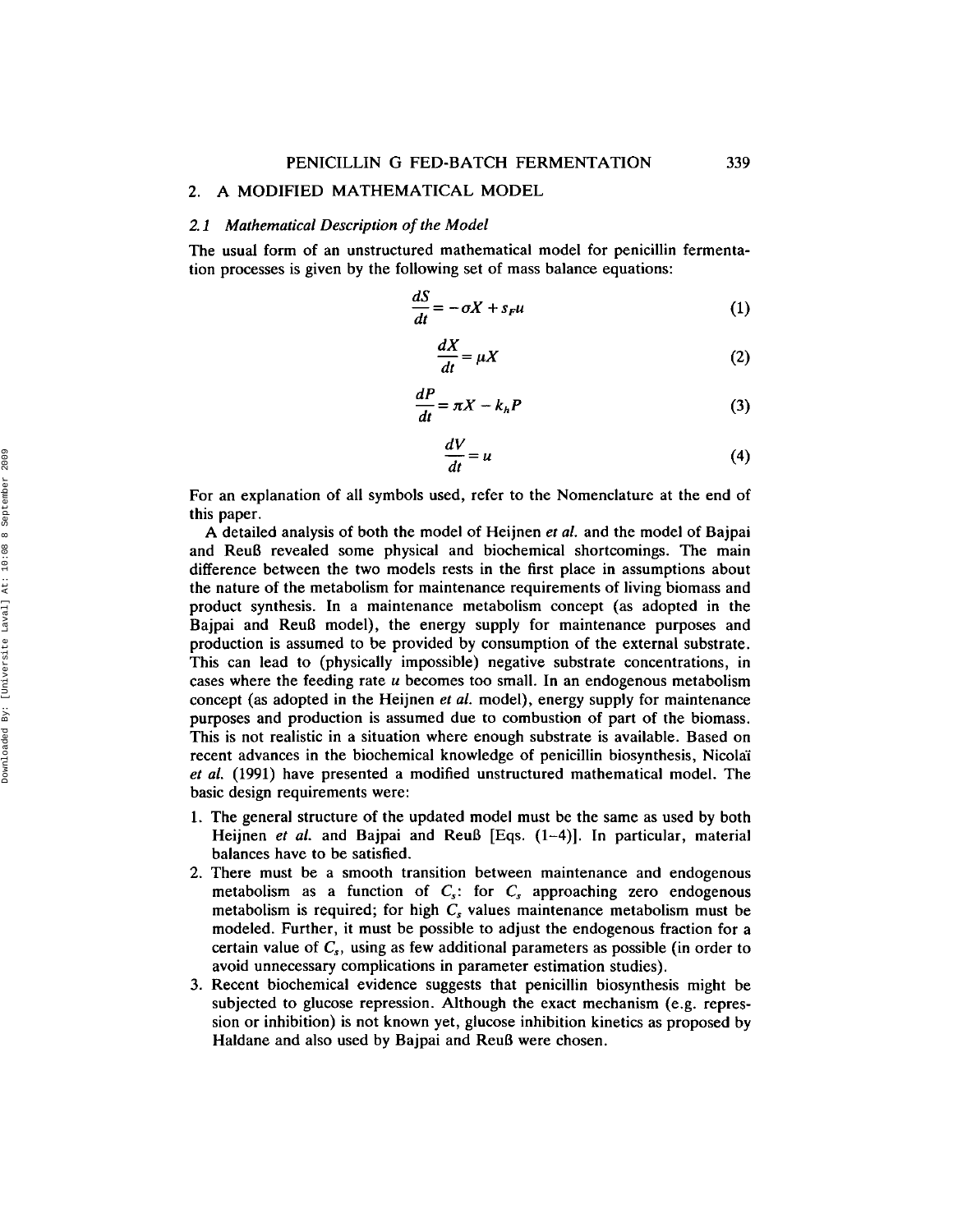# 2. A MODIFIED MATHEMATICAL MODEL

### 2.1 Mathematical Description of the Model

The usual form of an unstructured mathematical model for penicillin fermentation processes is given by the following set of mass balance equations:

$$
\frac{dS}{dt} = -\sigma X + s_F u \tag{1}
$$

$$
\frac{dX}{dt} = \mu X \tag{2}
$$

$$
\frac{dP}{dt} = \pi X - k_h P \tag{3}
$$

$$
\frac{dV}{dt} = u \tag{4}
$$

For an explanation of all symbols used, refer to the Nomenclature at the end of this paper.

A detailed analysis of both the model of Heijnen *et al.* and the model of Bajpai and ReuB revealed some physical and biochemical shortcomings. The main difference between the two models rests in the first place in assumptions about the nature of the metabolism for maintenance requirements of living biomass and product synthesis. In a maintenance metabolism concept (as adopted in the Bajpai and ReuB model), the energy supply for maintenance purposes and production is assumed to be provided by consumption of the external substrate. This can lead to (physically impossible) negative substrate concentrations, in cases where the feeding rate *u* becomes too small. In an endogenous metabolism concept (as adopted in the Heijnen *et al.* model), energy supply for maintenance purposes and production is assumed due to combustion of part of the biomass. This is not realistic in a situation where enough substrate is available. Based on recent advances in the biochemical knowledge of penicillin biosynthesis, Nicolai *et al.* (1991) have presented a modified unstructured mathematical model. The basic design requirements were:

- 1. The general structure of the updated model must be the same as used by both Heijnen *et al.* and Bajpai and Reuß [Eqs. (1-4)]. In particular, material balances have to be satisfied.
- 2. There must be a smooth transition between maintenance and endogenous metabolism as a function of *Cs :* for *Cs* approaching zero endogenous metabolism is required; for high  $C<sub>s</sub>$  values maintenance metabolism must be modeled. Further, it must be possible to adjust the endogenous fraction for a certain value of  $C_s$ , using as few additional parameters as possible (in order to avoid unnecessary complications in parameter estimation studies).
- 3. Recent biochemical evidence suggests that penicillin biosynthesis might be subjected to glucose repression. Although the exact mechanism (e.g. repression or inhibition) is not known yet, glucose inhibition kinetics as proposed by Haldane and also used by Bajpai and ReuB were chosen.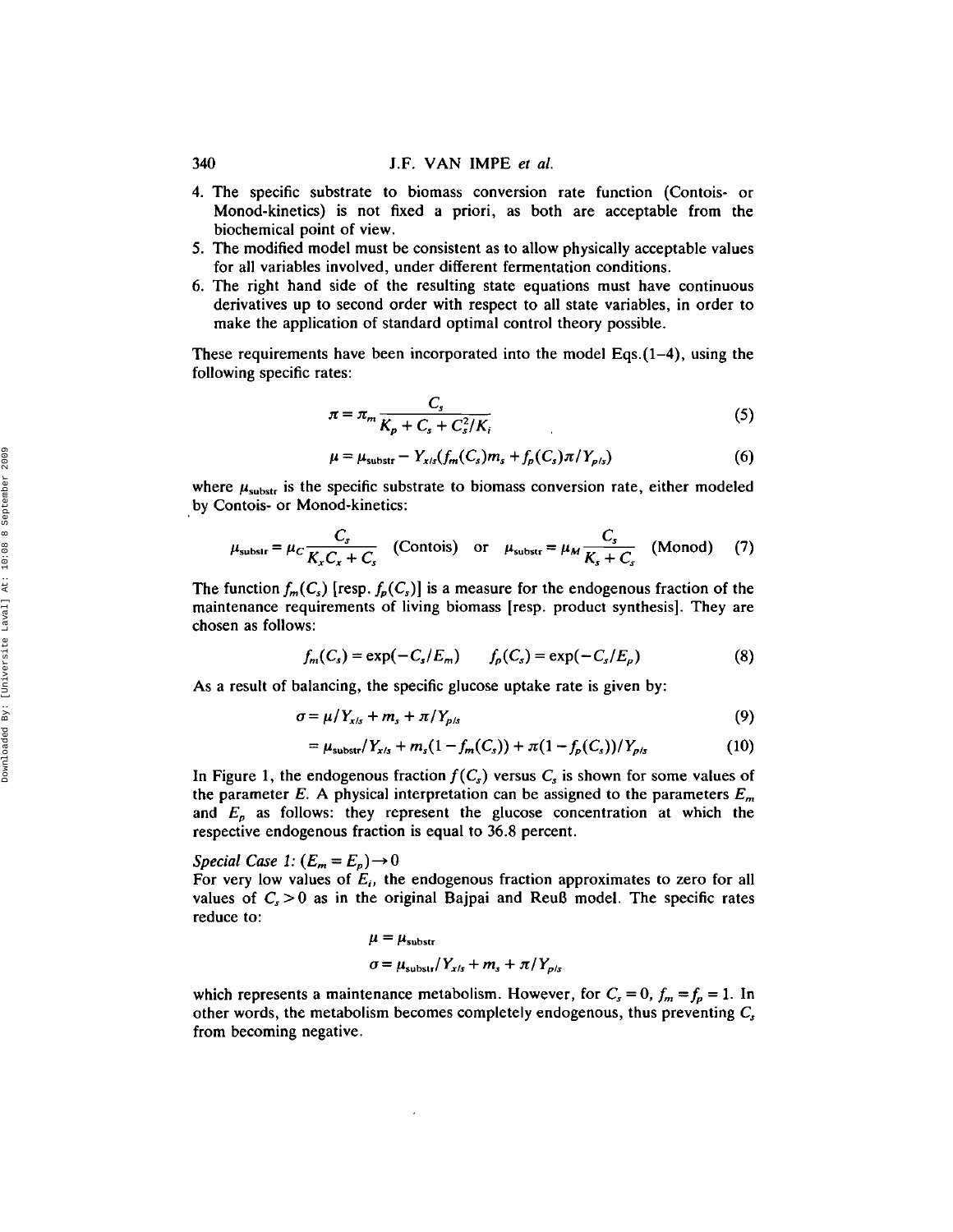- 4. The specific substrate to biomass conversion rate function (Contois- or Monod-kinetics) is not fixed a priori, as both are acceptable from the biochemical point of view.
- 5. The modified model must be consistent as to allow physically acceptable values for all variables involved, under different fermentation conditions.
- 6. The right hand side of the resulting state equations must have continuous derivatives up to second order with respect to all state variables, in order to make the application of standard optimal control theory possible.

These requirements have been incorporated into the model Eqs. $(1-4)$ , using the following specific rates:

$$
\pi = \pi_m \frac{C_s}{K_p + C_s + C_s^2 / K_i} \tag{5}
$$

$$
\mu = \mu_{\text{substr}} - Y_{x/s}(f_m(C_s)m_s + f_p(C_s)\pi/Y_{p/s})
$$
 (6)

where  $\mu_{\text{substr}}$  is the specific substrate to biomass conversion rate, either modeled by Contois- or Monod-kinetics:

$$
\mu_{\text{substr}} = \mu_C \frac{C_s}{K_x C_x + C_s} \quad \text{(Contois)} \quad \text{or} \quad \mu_{\text{substr}} = \mu_M \frac{C_s}{K_s + C_s} \quad \text{(Monod)} \quad (7)
$$

The function  $f_m(C_s)$  [resp.  $f_p(C_s)$ ] is a measure for the endogenous fraction of the maintenance requirements of living biomass [resp. product synthesis]. They are chosen as follows:

$$
f_m(C_s) = \exp(-C_s/E_m) \qquad f_p(C_s) = \exp(-C_s/E_p) \tag{8}
$$

As a result of balancing, the specific glucose uptake rate is given by:

$$
\sigma = \mu / Y_{x/s} + m_s + \pi / Y_{p/s} \tag{9}
$$

$$
= \mu_{\text{substr}} / Y_{x/s} + m_s (1 - f_m(C_s)) + \pi (1 - f_p(C_s)) / Y_{p/s}
$$
 (10)

In Figure 1, the endogenous fraction  $f(C<sub>s</sub>)$  versus C, is shown for some values of the parameter *E.* A physical interpretation can be assigned to the parameters *Em* and  $E_p$  as follows: they represent the glucose concentration at which the respective endogenous fraction is equal to 36.8 percent.

*Special Case 1:*  $(E_m = E_p) \rightarrow 0$ 

For very low values of  $E_i$ , the endogenous fraction approximates to zero for all values of  $C_s > 0$  as in the original Bajpai and Reuß model. The specific rates reduce to:

$$
\mu = \mu_{\text{substr}}
$$

$$
\sigma = \mu_{\text{substr}} / Y_{x/s} + m_s + \pi / Y_{p/s}
$$

which represents a maintenance metabolism. However, for  $C_s = 0$ ,  $f_m = f_p = 1$ . In other words, the metabolism becomes completely endogenous, thus preventing  $C<sub>s</sub>$ from becoming negative.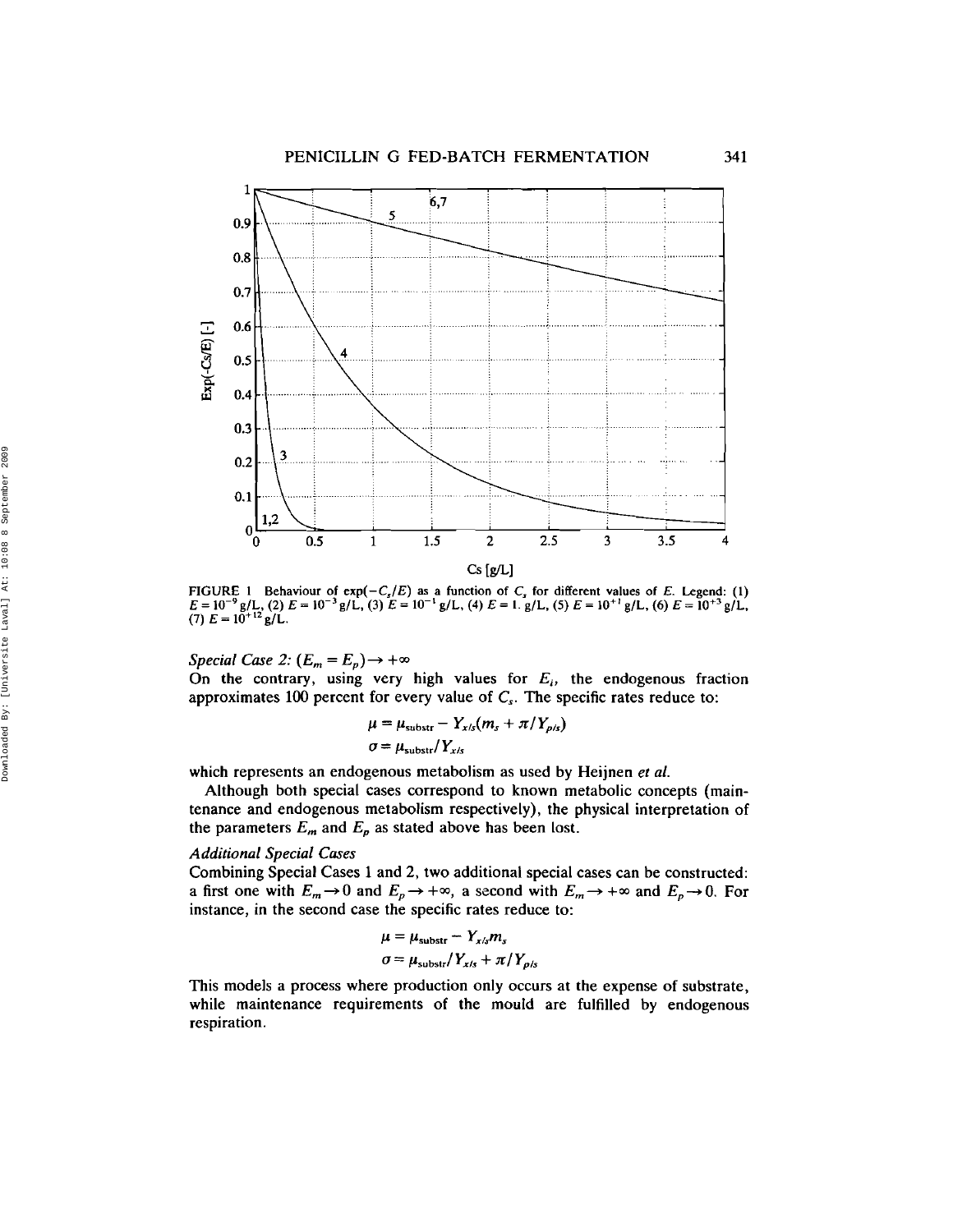

FIGURE 1 Behaviour of  $exp(-C_x/E)$  as a function of C, for different values of E. Legend: (1)  $E = 10^{-9}$  g/L, (2)  $E = 10^{-3}$  g/L, (3)  $E = 10^{-1}$  g/L, (4)  $E = 1.$  g/L, (5)  $E = 10^{+1}$  g/L, (6)  $E = 10^{+3}$  g/L, (7)  $E = 10^{+12}$  g/L.

*Special Case 2:*  $(E_m = E_p) \rightarrow +\infty$ 

On the contrary, using very high values for  $E_i$ , the endogenous fraction approximates 100 percent for every value of  $C_s$ . The specific rates reduce to:

$$
\mu = \mu_{\text{substr}} - Y_{x/s}(m_s + \pi / Y_{p/s})
$$

$$
\sigma = \mu_{\text{substr}} / Y_{x/s}
$$

which represents an endogenous metabolism as used by Heijnen *et at.*

Although both special cases correspond to known metabolic concepts (maintenance and endogenous metabolism respectively), the physical interpretation of the parameters  $E_m$  and  $E_p$  as stated above has been lost.

### *Additional Special Cases*

Combining Special Cases 1 and 2, two additional special cases can be constructed: a first one with  $E_m \to 0$  and  $E_p \to +\infty$ , a second with  $E_m \to +\infty$  and  $E_p \to 0$ . For instance, in the second case the specific rates reduce to:

$$
\mu = \mu_{\text{substr}} - Y_{x/s} m_s
$$

$$
\sigma = \mu_{\text{subtract}} / Y_{x/s} + \pi / Y_{p/s}
$$

This models a process where production only occurs at the expense of substrate, while maintenance requirements of the mould are fulfilled by endogenous respiration.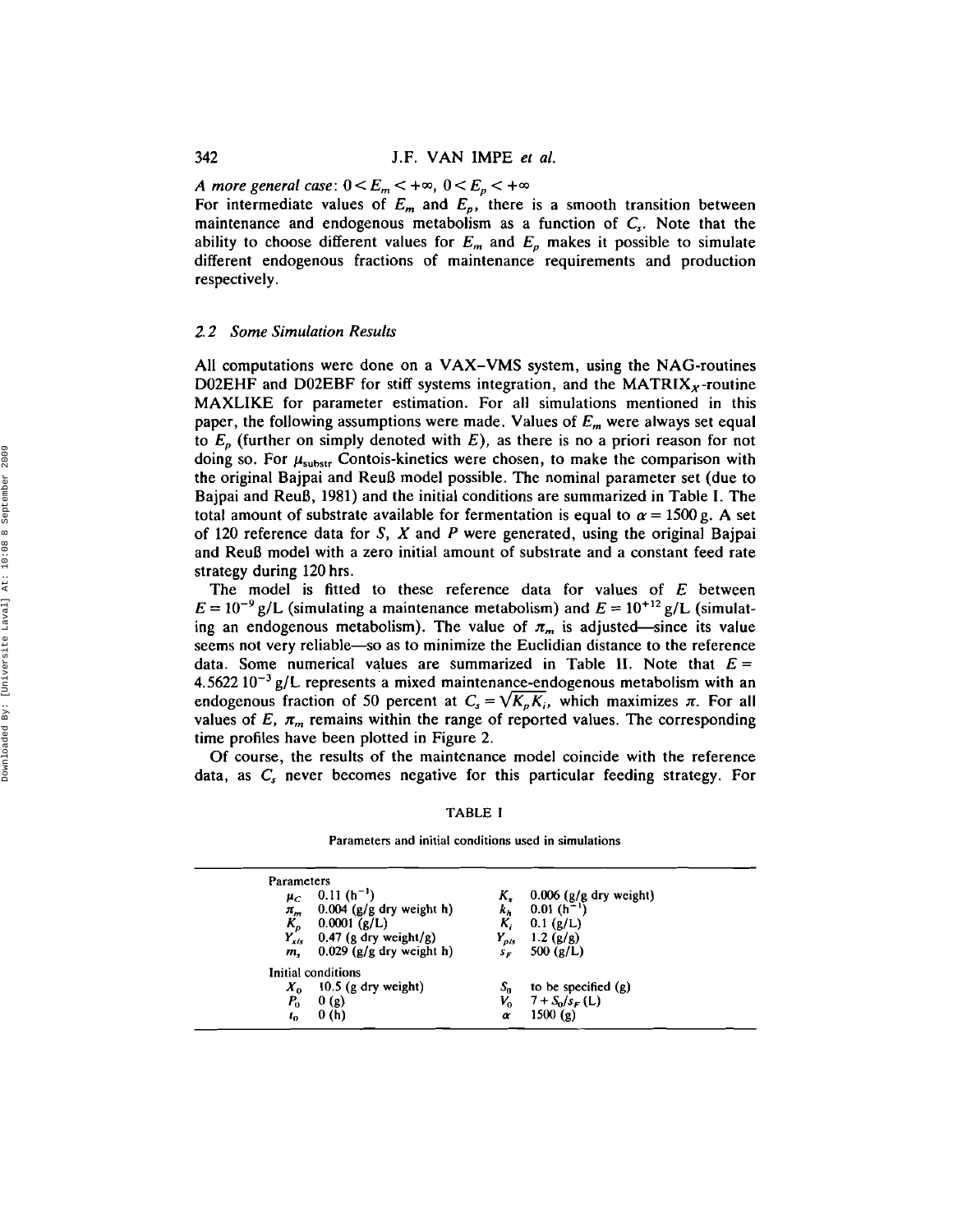*A more* general case:  $0 < E_m < +\infty$ ,  $0 < E_p < +\infty$ 

For intermediate values of  $E_m$  and  $E_p$ , there is a smooth transition between maintenance and endogenous metabolism as a function of *Cs '* Note that the ability to choose different values for  $E_m$  and  $E_p$  makes it possible to simulate different endogenous fractions of maintenance requirements and production respectively.

### *2.2 Some Simulation Results*

All computations were done on a VAX-VMS system, using the NAG-routines D02EHF and D02EBF for stiff systems integration, and the MATRIX $<sub>x</sub>$ -routine</sub> MAXLIKE for parameter estimation. For all simulations mentioned in this paper, the following assumptions were made. Values of *Em* were always set equal to  $E_p$  (further on simply denoted with E), as there is no a priori reason for not doing so. For  $\mu_{\text{substr}}$  Contois-kinetics were chosen, to make the comparison with the original Bajpai and ReuB model possible. The nominal parameter set (due to Bajpai and ReuB, 1981) and the initial conditions are summarized in Table I. The total amount of substrate available for fermentation is equal to  $\alpha = 1500$  g. A set of 120 reference data for S, *X* and *P* were generated, using the original Bajpai and ReuB model with a zero initial amount of substrate and a constant feed rate strategy during 120 hrs.

The model is fitted to these reference data for values of *E* between  $E = 10^{-9}$  g/L (simulating a maintenance metabolism) and  $E = 10^{+12}$  g/L (simulating an endogenous metabolism). The value of  $\pi_m$  is adjusted—since its value seems not very reliable-so as to minimize the Euclidian distance to the reference data. Some numerical values are summarized in Table II. Note that *E <sup>=</sup> 4.562210-3* g/L represents a mixed maintenance-endogenous metabolism with an endogenous fraction of 50 percent at  $C_s = \sqrt{K_p K_i}$ , which maximizes  $\pi$ . For all values of E,  $\pi_m$  remains within the range of reported values. The corresponding time profiles have been plotted in Figure 2.

Of course, the results of the maintenance model coincide with the reference data, as  $C_s$  never becomes negative for this particular feeding strategy. For

TABLE [

**Parameters and initial conditions used in simulations**

| Parameters<br>$0.11(h^{-1})$<br>$\mu_{C}$<br>$0.004$ (g/g dry weight h)<br>$\pi_m$<br>$K_{p}$<br>$0.0001$ (g/L)<br>$Y_{x/s}$<br>$0.47$ (g dry weight/g)<br>$0.029$ (g/g dry weight h)<br>m. | Κ,<br>k,<br>Κ,<br>$Y_{\rho/s}$<br>$s_{\epsilon}$ | $0.006$ (g/g dry weight)<br>$0.01(h^{-1})$<br>$0.1$ (g/L)<br>$1.2$ (g/g)<br>500 $(g/L)$ |
|---------------------------------------------------------------------------------------------------------------------------------------------------------------------------------------------|--------------------------------------------------|-----------------------------------------------------------------------------------------|
| Initial conditions<br>$10.5$ (g dry weight)<br>$X_0$<br>$P_{0}$<br>0(g)<br>0(h)<br>$t_{0}$                                                                                                  | $S_{0}$<br>$V_{0}$<br>$\alpha$                   | to be specified $(g)$<br>$7 + S_0/s_F(L)$<br>1500(p)                                    |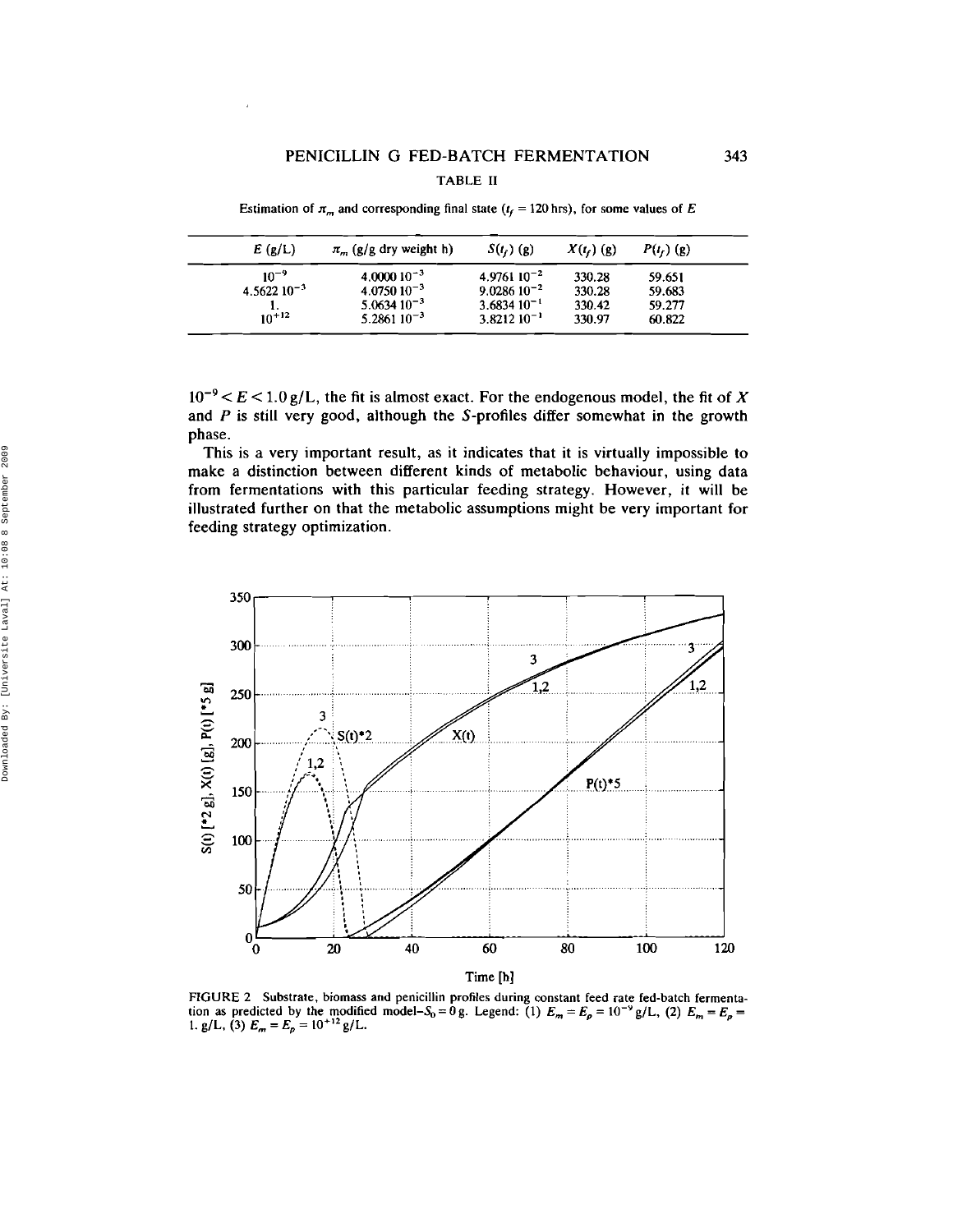# PENICILLIN G FED-BATCH FERMENTATION TABLE II

Estimation of  $\pi_m$  and corresponding final state ( $t_f = 120$  hrs), for some values of *E* 

| E(g/L)                                     | $\pi_m$ (g/g dry weight h)                                               | $S(t_f)$ (g)                                                             | $X(t_r)$ (g)                         | $P(t_r)$ (g)                         |  |
|--------------------------------------------|--------------------------------------------------------------------------|--------------------------------------------------------------------------|--------------------------------------|--------------------------------------|--|
| $10^{-9}$<br>$4.562210^{-3}$<br>$10^{+12}$ | $4,000010^{-3}$<br>$4.075010^{-3}$<br>$5.063410^{-3}$<br>$5.286110^{-3}$ | $4.976110^{-2}$<br>$9.028610^{-2}$<br>$3.683410^{-1}$<br>$3.821210^{-1}$ | 330.28<br>330.28<br>330.42<br>330.97 | 59.651<br>59.683<br>59.277<br>60.822 |  |

 $10^{-9} < E < 1.0$  g/L, the fit is almost exact. For the endogenous model, the fit of X and *P* is still very good, although the S-profiles differ somewhat in the growth phase.

This is a very important result, as it indicates that it is virtually impossible to make a distinction between different kinds of metabolic behaviour, using data from fermentations with this particular feeding strategy. However, it will be illustrated further on that the metabolic assumptions might be very important for feeding strategy optimization.



FIGURE 2 Substrate, biomass and penicillin profiles during constant feed rate fed-batch fermentation as predicted by the modified model-S<sub>0</sub> = 0 g. Legend: (1)  $E_m = E_p = 10^{-9}$  g/L, (2)  $E_m = E_p =$ 1. g/L, (3)  $E_m = E_p = 10^{+12}$  g/L.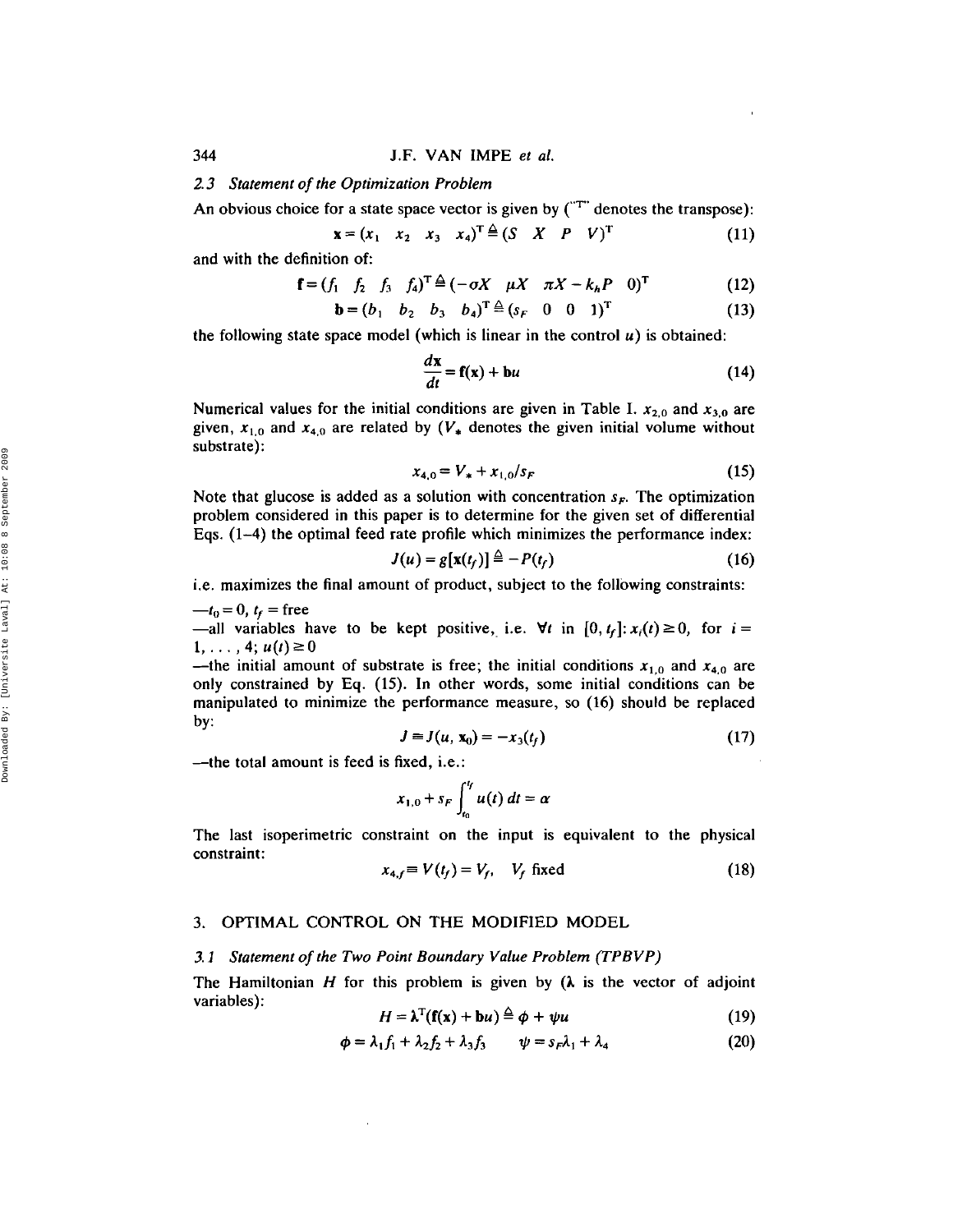2.3 Statement of the Optimization Problem

An obvious choice for a state space vector is given by  $(^\text{\'{Tr}}$  denotes the transpose):

$$
\mathbf{x} = (x_1 \ x_2 \ x_3 \ x_4)^T \triangleq (S \ X \ P \ V)^T \tag{11}
$$

and with the definition of:

$$
\mathbf{f} = (f_1 \quad f_2 \quad f_3 \quad f_4)^{\mathrm{T}} \triangleq (-\sigma X \quad \mu X \quad \pi X - k_h P \quad 0)^{\mathrm{T}} \tag{12}
$$

$$
\mathbf{b} = (b_1 \quad b_2 \quad b_3 \quad b_4)^{\mathrm{T}} \triangleq (s_F \quad 0 \quad 0 \quad 1)^{\mathrm{T}} \tag{13}
$$

the following state space model (which is linear in the control  $u$ ) is obtained:

$$
\frac{d\mathbf{x}}{dt} = \mathbf{f}(\mathbf{x}) + \mathbf{b}u \tag{14}
$$

Numerical values for the initial conditions are given in Table I.  $x_{2,0}$  and  $x_{3,0}$  are given,  $x_{1,0}$  and  $x_{4,0}$  are related by  $(V_*$  denotes the given initial volume without substrate):

$$
x_{4,0} = V_* + x_{1,0}/s_F \tag{15}
$$

Note that glucose is added as a solution with concentration  $s_F$ . The optimization problem considered in this paper is to determine for the given set of differential Eqs.  $(1-4)$  the optimal feed rate profile which minimizes the performance index:

$$
J(u) = g[\mathbf{x}(t_f)] \triangleq -P(t_f) \tag{16}
$$

i.e. maximizes the final amount of product, subject to the following constraints:

 $-t_0 = 0$ ,  $t_f$  = free

-all variables have to be kept positive, i.e.  $\forall t$  in  $[0, t_f]$ :  $x_i(t) \ge 0$ , for  $i =$  $1, \ldots, 4; u(t) \ge 0$ 

-the initial amount of substrate is free; the initial conditions  $x_{1,0}$  and  $x_{4,0}$  are only constrained by Eq. (15). In other words, some initial conditions can be manipulated to minimize the performance measure, so (16) should be replaced by:

$$
J \equiv J(u, x_0) = -x_3(t_f) \tag{17}
$$

-the total amount is feed is fixed, i.e.:

$$
x_{1,0}+s_F\int_{t_0}^{t_f}u(t)\,dt=\alpha
$$

The last isoperimetric constraint on the input is equivalent to the physical constraint:

$$
x_{4,f} \equiv V(t_f) = V_f, \quad V_f \text{ fixed} \tag{18}
$$

## 3. OPTIMAL CONTROL ON THE MODIFIED MODEL

#### *3.1 Statement ofthe Two Point Boundary Value Problem (TPBVP)*

The Hamiltonian H for this problem is given by  $(\lambda)$  is the vector of adjoint variables):

$$
H = \lambda^{T}(\mathbf{f}(\mathbf{x}) + \mathbf{b}u) \stackrel{\Delta}{=} \phi + \psi u \tag{19}
$$

$$
\phi = \lambda_1 f_1 + \lambda_2 f_2 + \lambda_3 f_3 \qquad \psi = s_F \lambda_1 + \lambda_4 \tag{20}
$$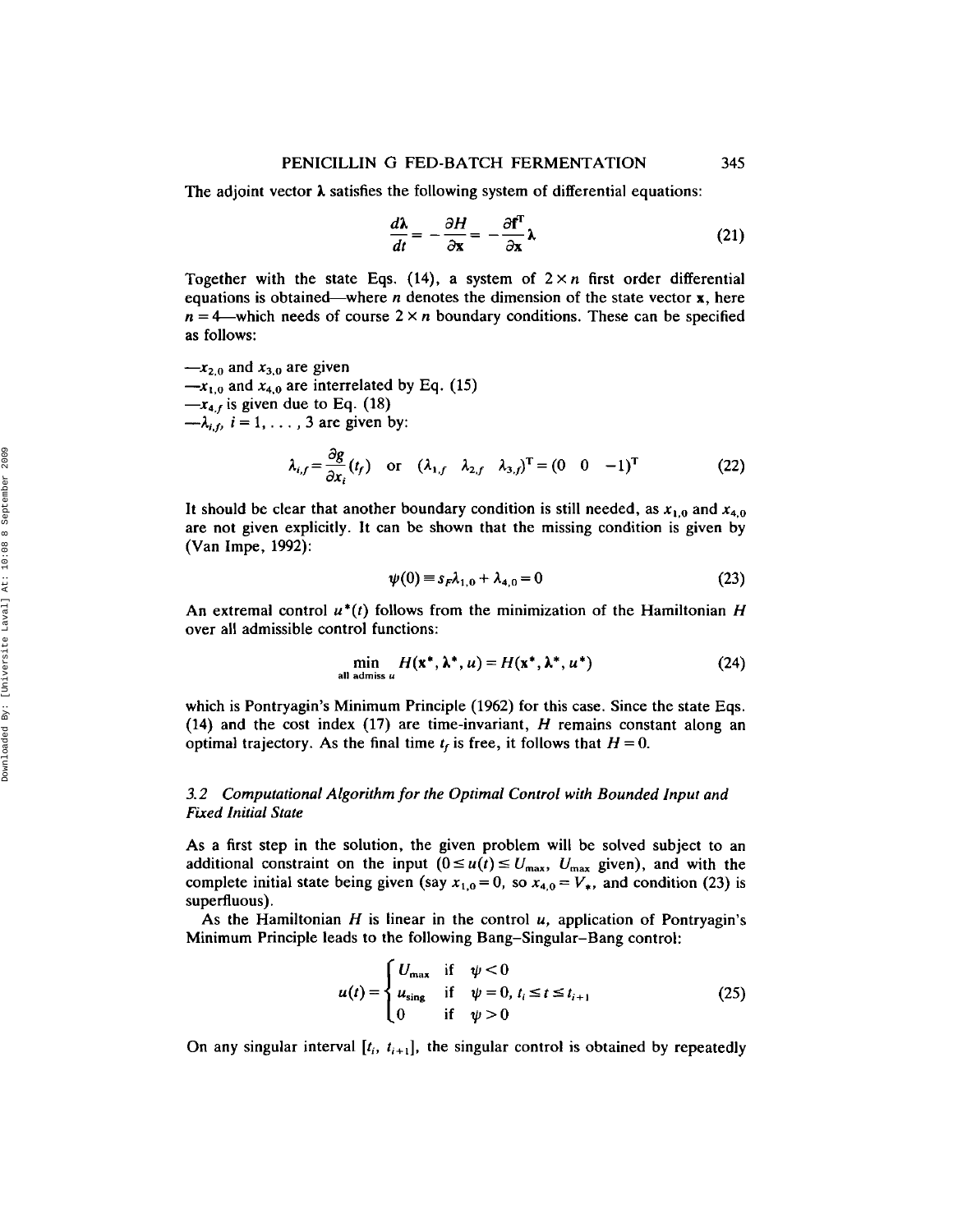The adjoint vector  $\lambda$  satisfies the following system of differential equations:

$$
\frac{d\lambda}{dt} = -\frac{\partial H}{\partial x} = -\frac{\partial f^{T}}{\partial x} \lambda
$$
 (21)

Together with the state Eqs. (14), a system of  $2 \times n$  first order differential equations is obtained—where  $n$  denotes the dimension of the state vector  $x$ , here  $n = 4$ —which needs of course  $2 \times n$  boundary conditions. These can be specified as follows:

 $-x_{2,0}$  and  $x_{3,0}$  are given  $-x_{1,0}$  and  $x_{4,0}$  are interrelated by Eq. (15)  $-x_{4,f}$  is given due to Eq. (18)  $-\lambda_{i,j}$ ,  $i = 1, \ldots, 3$  are given by:

$$
\lambda_{i,f} = \frac{\partial g}{\partial x_i}(t_f) \quad \text{or} \quad (\lambda_{1,f} \quad \lambda_{2,f} \quad \lambda_{3,f})^{\mathrm{T}} = (0 \quad 0 \quad -1)^{\mathrm{T}} \tag{22}
$$

It should be clear that another boundary condition is still needed, as  $x_{1,0}$  and  $x_{4,0}$ are not given explicitly. It can be shown that the missing condition is given by (Van Impe, 1992):

$$
\psi(0) \equiv s_F \lambda_{1,0} + \lambda_{4,0} = 0 \tag{23}
$$

An extremal control  $u^*(t)$  follows from the minimization of the Hamiltonian *H* over all admissible control functions:

$$
\min_{\text{all admissible } u} H(\mathbf{x}^*, \lambda^*, u) = H(\mathbf{x}^*, \lambda^*, u^*)
$$
\n(24)

which is Pontryagin's Minimum Principle (1962) for this case. Since the state Eqs. (14) and the cost index (17) are time-invariant,  $H$  remains constant along an optimal trajectory. As the final time  $t_f$  is free, it follows that  $H = 0$ .

# *3.2 Computational Algorithm for the Optimal Control with Bounded Input and Fixed Initial State*

As a first step in the solution, the given problem will be solved subject to an additional constraint on the input  $(0 \le u(t) \le U_{\text{max}}$ ,  $U_{\text{max}}$  given), and with the complete initial state being given (say  $x_{1,0} = 0$ , so  $x_{4,0} = V_*$ , and condition (23) is superfluous).

As the Hamiltonian  $H$  is linear in the control  $u$ , application of Pontryagin's Minimum Principle leads to the following Bang-Singular-Bang control:

$$
u(t) = \begin{cases} U_{\text{max}} & \text{if } \psi < 0\\ u_{\text{sing}} & \text{if } \psi = 0, \ t_i \le t \le t_{i+1} \\ 0 & \text{if } \psi > 0 \end{cases} \tag{25}
$$

On any singular interval  $[t_i, t_{i+1}]$ , the singular control is obtained by repeatedly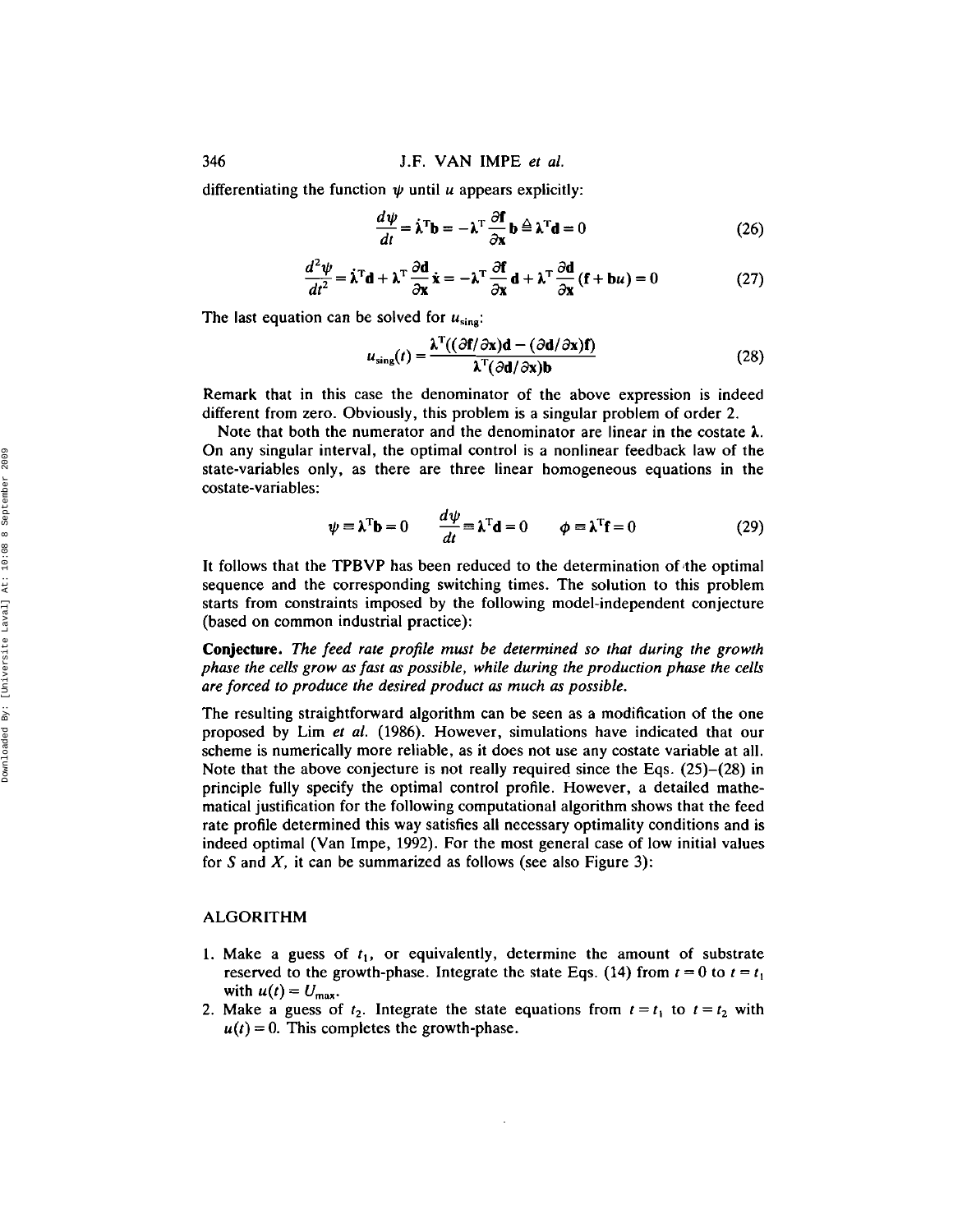differentiating the function  $\psi$  until  $\mu$  appears explicitly:

$$
\frac{d\psi}{dt} = \dot{\lambda}^{\mathrm{T}} \mathbf{b} = -\lambda^{\mathrm{T}} \frac{\partial \mathbf{f}}{\partial \mathbf{x}} \mathbf{b} \triangleq \lambda^{\mathrm{T}} \mathbf{d} = 0 \tag{26}
$$

$$
\frac{d^2\psi}{dt^2} = \dot{\lambda}^T \mathbf{d} + \lambda^T \frac{\partial \mathbf{d}}{\partial \mathbf{x}} \dot{\mathbf{x}} = -\lambda^T \frac{\partial \mathbf{f}}{\partial \mathbf{x}} \mathbf{d} + \lambda^T \frac{\partial \mathbf{d}}{\partial \mathbf{x}} (\mathbf{f} + \mathbf{b}\boldsymbol{u}) = 0
$$
 (27)

The last equation can be solved for  $u_{\text{sing}}$ :

$$
u_{\text{sing}}(t) = \frac{\lambda^{\text{T}}((\partial \mathbf{f}/\partial \mathbf{x})\mathbf{d} - (\partial \mathbf{d}/\partial \mathbf{x})\mathbf{f})}{\lambda^{\text{T}}(\partial \mathbf{d}/\partial \mathbf{x})\mathbf{b}}
$$
(28)

Remark that in this case the denominator of the above expression is indeed different from zero. Obviously, this problem is a singular problem of order 2.

Note that both the numerator and the denominator are linear in the costate  $\lambda$ . On any singular interval, the optimal control is a nonlinear feedback law of the state-variables only, as there are three linear homogeneous equations in the costate-variables:

$$
\psi = \lambda^{\mathrm{T}} \mathbf{b} = 0 \qquad \frac{d\psi}{dt} = \lambda^{\mathrm{T}} \mathbf{d} = 0 \qquad \phi = \lambda^{\mathrm{T}} \mathbf{f} = 0 \tag{29}
$$

It follows that the TPBVP has been reduced to the determination of 'the optimal sequence and the corresponding switching times. The solution to this problem starts from constraints imposed by the following model-independent conjecture (based on common industrial practice):

Conjecture. *The feed rate profile must be determined so that during the growth phase the cells grow as fast as possible, while during the production phase the cells are forced* 10 *produce the desired product as much as possible.*

The resulting straightforward algorithm can be seen as a modification of the one proposed by Lim *et al.* (1986). However, simulations have indicated that our scheme is numerically more reliable, as it does not use any costate variable at all. Note that the above conjecture is not really required since the Eqs. (25)-(28) in principle fully specify the optimal control profile. However, a detailed mathematical justification for the following computational algorithm shows that the feed rate profile determined this way satisfies all necessary optimality conditions and is indeed optimal (Van Impe, 1992). For the most general case of low initial values for S and X, it can be summarized as follows (see also Figure 3):

### ALGORITHM

- 1. Make a guess of  $t_1$ , or equivalently, determine the amount of substrate reserved to the growth-phase. Integrate the state Eqs. (14) from  $t = 0$  to  $t = t_1$ with  $u(t) = U_{\text{max}}$ .
- 2. Make a guess of  $t_2$ . Integrate the state equations from  $t = t_1$  to  $t = t_2$  with  $u(t) = 0$ . This completes the growth-phase.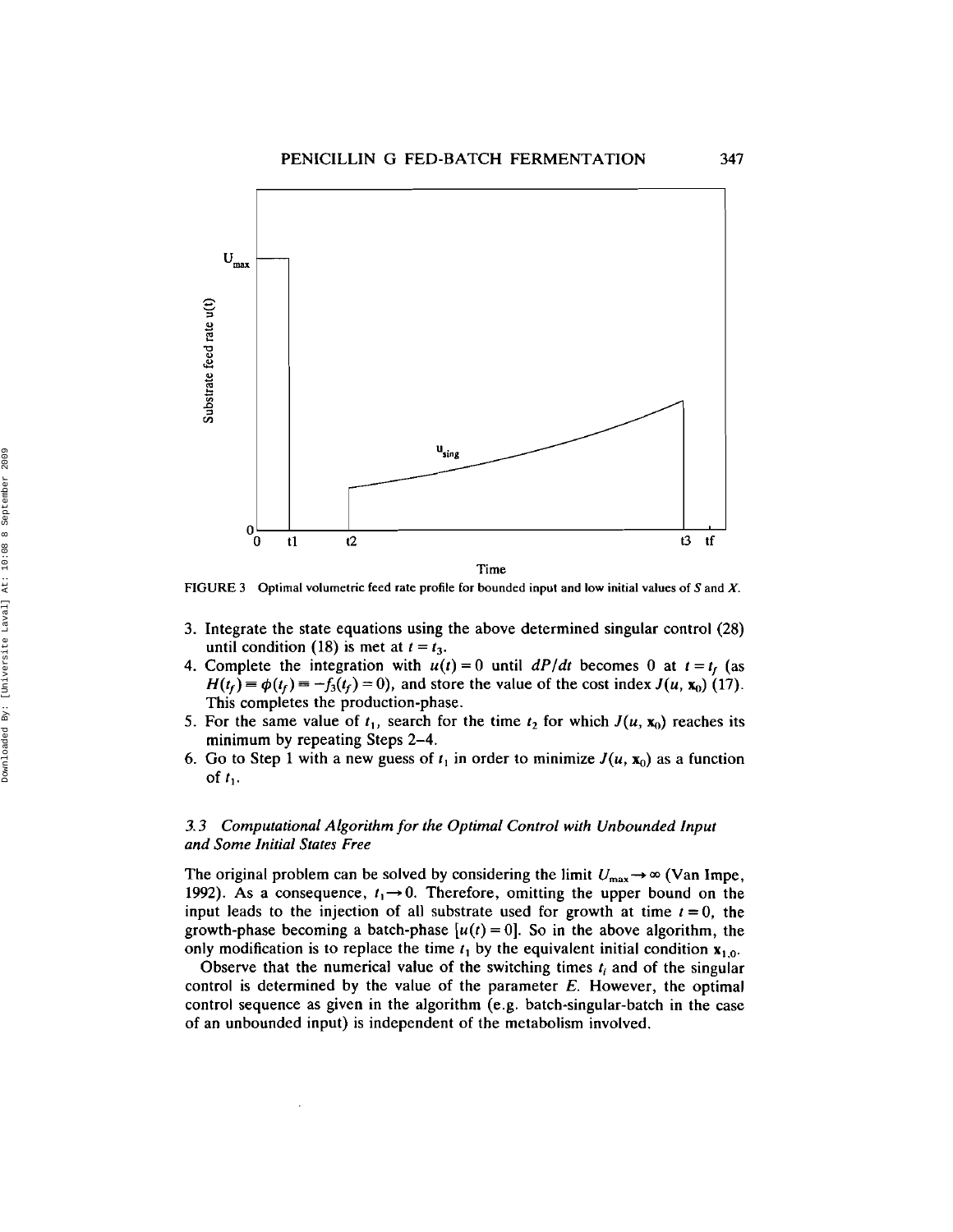

FIGURE 3 Optimal volumetric feed rate profile for bounded input and low initial values of  $S$  and  $X$ .

- 3. Integrate the state equations using the above determined singular control (28) until condition (18) is met at  $t = t_3$ .
- 4. Complete the integration with  $u(t) = 0$  until  $dP/dt$  becomes 0 at  $t = t_f$  (as  $H(t_f) = \phi(t_f) = -f_3(t_f) = 0$ , and store the value of the cost index  $J(u, x_0)$  (17). This completes the production-phase.
- 5. For the same value of  $t_1$ , search for the time  $t_2$  for which  $J(u, x_0)$  reaches its minimum by repeating Steps 2-4.
- 6. Go to Step 1 with a new guess of  $t_1$  in order to minimize  $J(u, x_0)$  as a function of  $t_1$ .

# *3.3 Computational Algorithm for the Optimal Control with Unbounded Input and Some Initial States Free*

The original problem can be solved by considering the limit  $U_{\text{max}} \rightarrow \infty$  (Van Impe, 1992). As a consequence,  $t_1 \rightarrow 0$ . Therefore, omitting the upper bound on the input leads to the injection of all substrate used for growth at time  $t = 0$ , the growth-phase becoming a batch-phase  $[u(t) = 0]$ . So in the above algorithm, the only modification is to replace the time  $t_1$  by the equivalent initial condition  $\mathbf{x}_{1,0}$ .

Observe that the numerical value of the switching times  $t_i$  and of the singular control is determined by the value of the parameter *E.* However, the optimal control sequence as given in the algorithm (e.g. batch-singular-batch in the case of an unbounded input) is independent of the metabolism involved.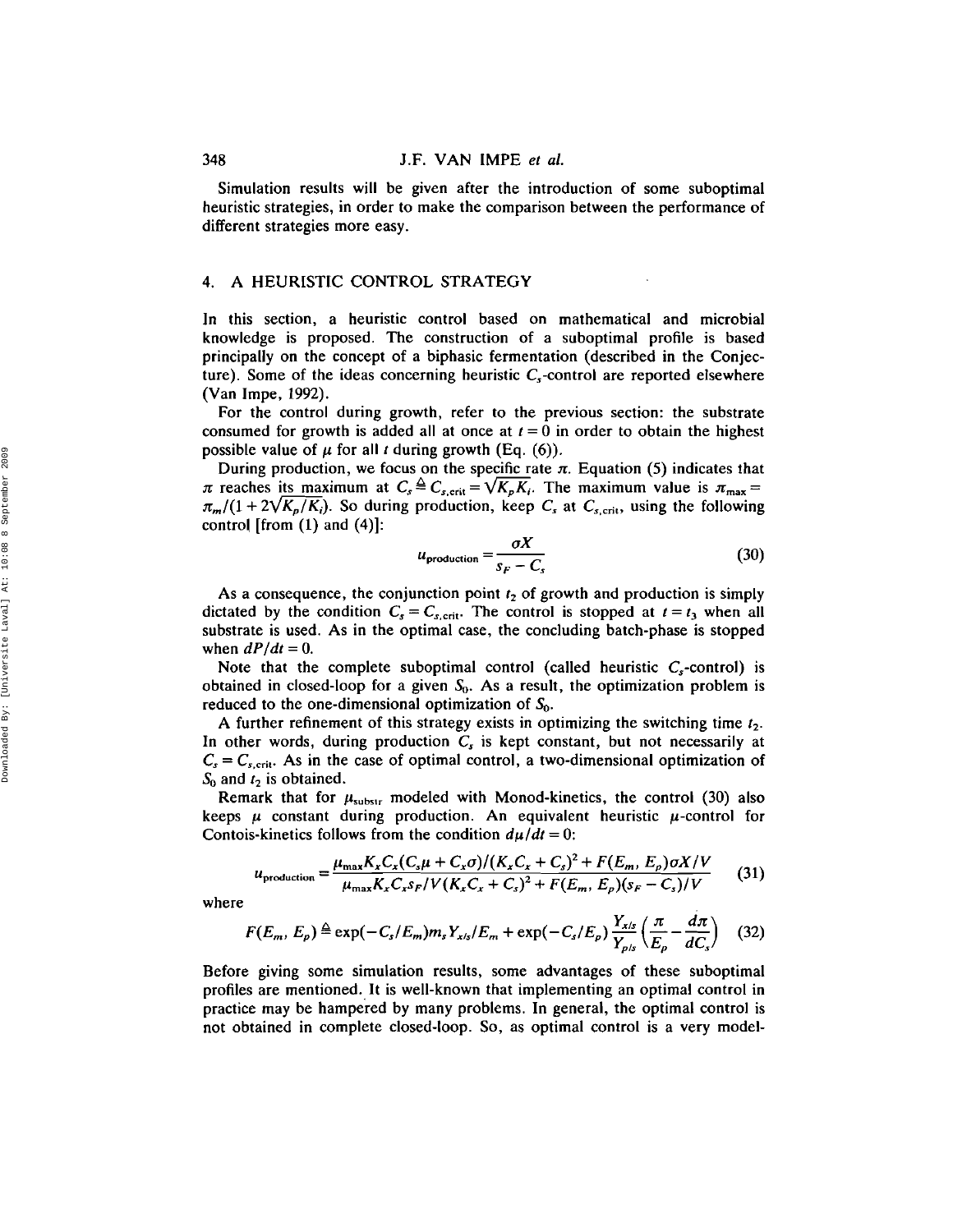Simulation results will be given after the introduction of some suboptimal heuristic strategies, in order to make the comparison between the performance of different strategies more easy.

# 4. A HEURISTIC CONTROL STRATEGY

In this section, a heuristic control based on mathematical and microbial knowledge is proposed. The construction of a suboptimal profile is based principally on the concept of a biphasic fermentation (described in the Conjecture). Some of the ideas concerning heuristic  $C_s$ -control are reported elsewhere (Van Impe, 1992).

For the control during growth, refer to the previous section: the substrate consumed for growth is added all at once at  $t = 0$  in order to obtain the highest possible value of  $\mu$  for all *t* during growth (Eq. (6)).

During production, we focus on the specific rate  $\pi$ . Equation (5) indicates that  $\pi$  reaches its maximum at  $C_s \triangleq C_{s, crit} = \sqrt{K_p K_i}$ . The maximum value is  $\pi_{\text{max}} =$  $\pi_m/(1+2\sqrt{K_p/K_i})$ . So during production, keep  $C_s$  at  $C_{s, crit}$ , using the following control [from  $(1)$  and  $(4)$ ]:

$$
u_{\text{production}} = \frac{\sigma X}{s_F - C_s} \tag{30}
$$

As a consequence, the conjunction point  $t_2$  of growth and production is simply dictated by the condition  $C_s = C_{s,\text{crit}}$ . The control is stopped at  $t = t_3$  when all substrate is used. As in the optimal case, the concluding batch-phase is stopped when  $dP/dt = 0$ .

Note that the complete suboptimal control (called heuristic  $C_s$ -control) is obtained in closed-loop for a given  $S_0$ . As a result, the optimization problem is reduced to the one-dimensional optimization of  $S_0$ .

A further refinement of this strategy exists in optimizing the switching time *t z .* In other words, during production *Cs* is kept constant, but not necessarily at  $C_s = C_{s,\text{crit}}$ . As in the case of optimal control, a two-dimensional optimization of  $S_0$  and  $t_2$  is obtained.

Remark that for  $\mu_{\text{substr}}$  modeled with Monod-kinetics, the control (30) also keeps  $\mu$  constant during production. An equivalent heuristic  $\mu$ -control for Contois-kinetics follows from the condition  $d\mu/dt = 0$ :

$$
u_{\text{production}} = \frac{\mu_{\text{max}} K_x C_x (C_s \mu + C_x \sigma) / (K_x C_x + C_s)^2 + F(E_m, E_p) \sigma X / V}{\mu_{\text{max}} K_x C_x s_F / V (K_x C_x + C_s)^2 + F(E_m, E_p) (s_F - C_s) / V}
$$
(31)

where

 $\overline{a}$ 

$$
F(E_m, E_p) \triangleq \exp(-C_s/E_m)m_s Y_{x/s}/E_m + \exp(-C_s/E_p) \frac{Y_{x/s}}{Y_{p/s}} \left(\frac{\pi}{E_p} - \frac{d\pi}{dC_s}\right) \quad (32)
$$

Before giving some simulation results, some advantages of these suboptimal profiles are mentioned. It is well-known that implementing an optimal control in practice may be hampered by many problems. In general, the optimal control is not obtained in complete closed-loop. So, as optimal control is a very model-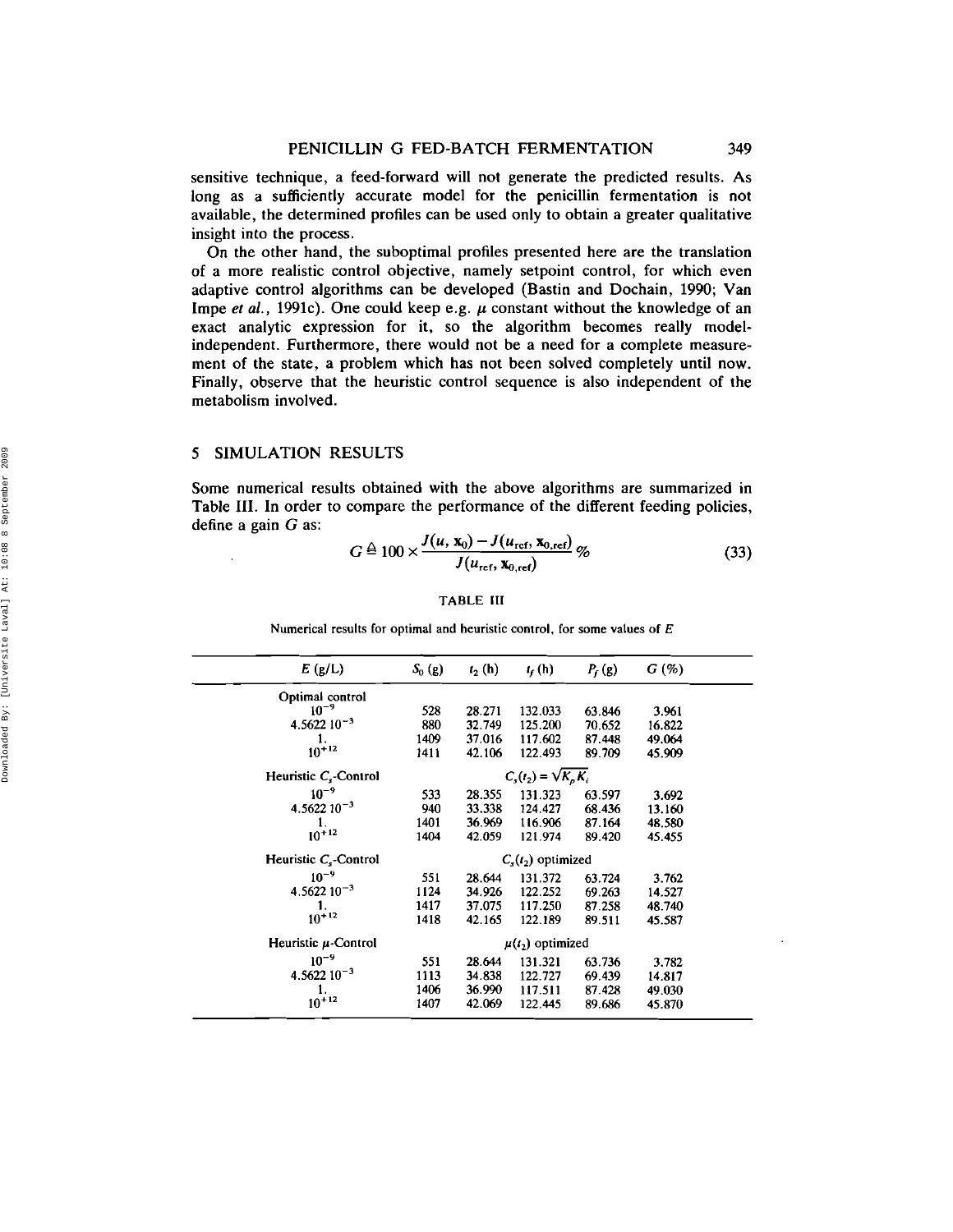sensitive technique, a feed-forward will not generate the predicted results. As long as a sufficiently accurate model for the penicillin fermentation is not available, the determined profiles can be used only to obtain a greater qualitative insight into the process.

On the other hand, the suboptimal profiles presented here are the translation of a more realistic control objective, namely setpoint control, for which even adaptive control algorithms can be developed (Bastin and Dochain, 1990; Van Impe *et al.*, 1991c). One could keep e.g.  $\mu$  constant without the knowledge of an exact analytic expression for it, so the algorithm becomes really modelindependent. Furthermore, there would not be a need for a complete measurement of the state, a problem which has not been solved completely until now. Finally, observe that the heuristic control sequence is also independent of the metabolism involved.

## 5 SIMULATION RESULTS

Some numerical results obtained with the above algorithms are summarized in Table III. In order to compare the performance of the different feeding policies, define a gain  $G$  as:

$$
G \triangleq 100 \times \frac{J(u, \mathbf{x}_0) - J(u_{\text{ref}}, \mathbf{x}_{0,\text{ref}})}{J(u_{\text{ref}}, \mathbf{x}_{0,\text{ref}})} \%
$$
(33)

### TABLE III

Numerical results for optimal and heuristic control. for some values of *E*

| E(g/L)                            | $S_0$ (g)              | $t_2(h)$ | $t_f(h)$                    | $P_f(g)$ | $G(\%)$ |  |
|-----------------------------------|------------------------|----------|-----------------------------|----------|---------|--|
| Optimal control                   |                        |          |                             |          |         |  |
| $10^{-9}$                         | 528                    | 28.271   | 132.033                     | 63.846   | 3.961   |  |
| $4.562210^{-3}$                   | 880                    | 32.749   | 125.200                     | 70.652   | 16.822  |  |
| 1.                                | 1409                   | 37.016   | 117.602                     | 87.448   | 49.064  |  |
| $10^{+12}$                        | 1411                   | 42.106   | 122.493                     | 89.709   | 45.909  |  |
| Heuristic $C_{\rm s}$ -Control    |                        |          | $C_s(t_2) = \sqrt{K_p K_i}$ |          |         |  |
| $10^{-9}$                         | 533                    | 28.355   | 131.323                     | 63.597   | 3.692   |  |
| $4.562210^{-3}$                   | 940                    | 33.338   | 124.427                     | 68.436   | 13.160  |  |
| 1.                                | 1401                   | 36.969   | 116.906                     | 87.164   | 48.580  |  |
| $10^{+12}$                        | 1404                   | 42.059   | 121.974                     | 89.420   | 45.455  |  |
| Heuristic C <sub>s</sub> -Control | $C_{s}(t_2)$ optimized |          |                             |          |         |  |
| $10^{-9}$                         | 551                    | 28.644   | 131.372                     | 63.724   | 3.762   |  |
| $4.562210^{-3}$                   | 1124                   | 34.926   | 122.252                     | 69.263   | 14.527  |  |
| 1.                                | 1417                   | 37.075   | 117.250                     | 87.258   | 48.740  |  |
| $10^{+12}$                        | 1418                   | 42.165   | 122.189                     | 89.511   | 45.587  |  |
| Heuristic $\mu$ -Control          |                        |          | $\mu(t_2)$ optimized        |          |         |  |
| $10^{-9}$                         | 551                    | 28.644   | 131.321                     | 63.736   | 3.782   |  |
| $4.562210^{-3}$                   | 1113                   | 34.838   | 122.727                     | 69.439   | 14.817  |  |
| 1.                                | 1406                   | 36.990   | 117.511                     | 87.428   | 49.030  |  |
| $10^{+12}$                        | 1407                   | 42.069   | 122.445                     | 89.686   | 45.870  |  |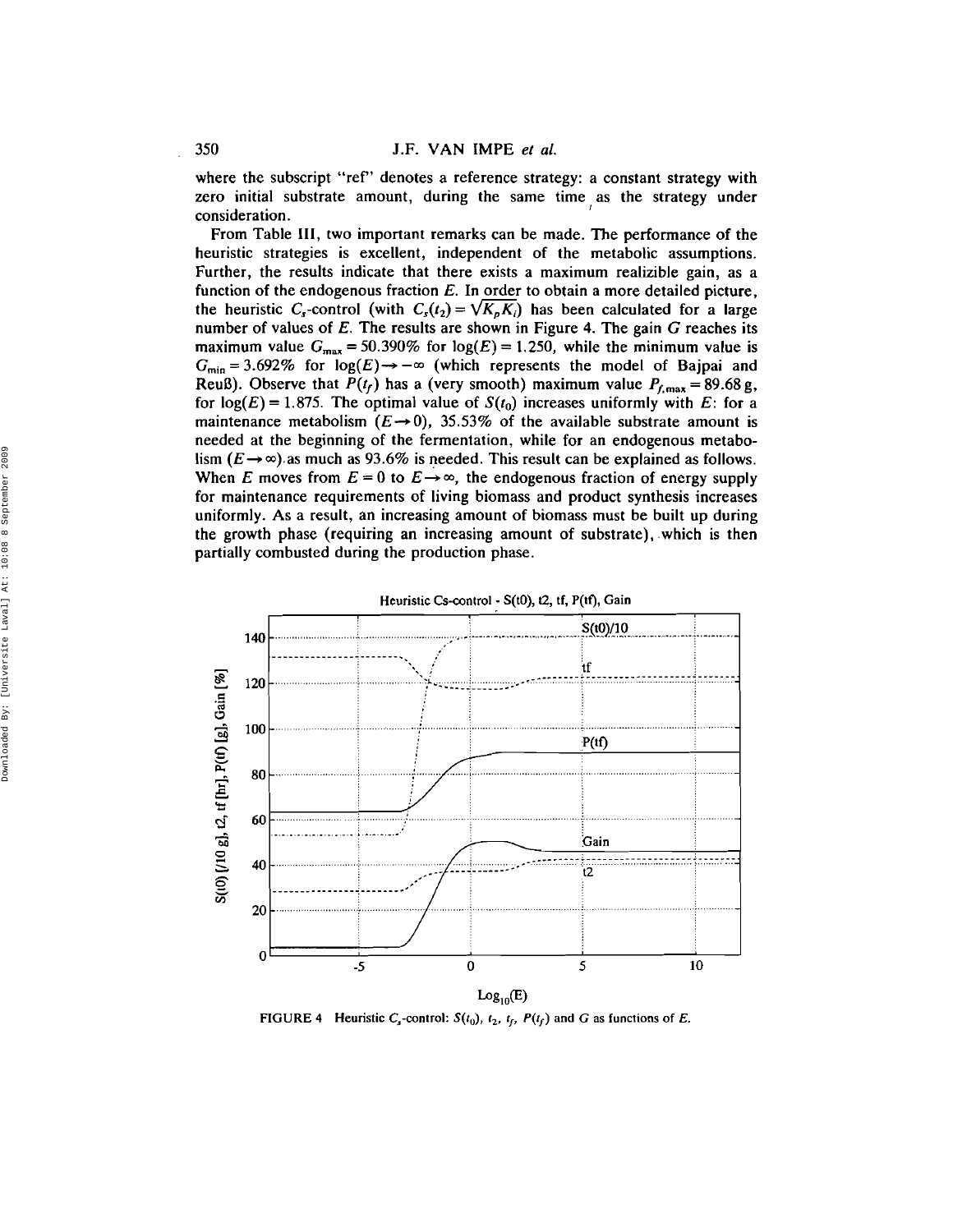where the subscript "ref" denotes a reference strategy: a constant strategy with zero initial substrate amount, during the same time as the strategy under consideration.

From Table III, two important remarks can be made. The performance of the heuristic strategies is excellent, independent of the metabolic assumptions. Further, the results indicate that there exists a maximum realizible gain, as a function of the endogenous fraction *E.* In order to obtain a more detailed picture, the heuristic C<sub>s</sub>-control (with  $C_s(t_2) = \sqrt{K_pK_i}$ ) has been calculated for a large number of values of *E.* The results are shown in Figure 4. The gain G reaches its maximum value  $G_{\text{max}} = 50.390\%$  for  $\log(E) = 1.250$ , while the minimum value is  $G_{\text{min}} = 3.692\%$  for  $\log(E) \rightarrow -\infty$  (which represents the model of Bajpai and ReuB). Observe that  $P(t_f)$  has a (very smooth) maximum value  $P_{t, \text{max}} = 89.68 \text{ g}$ , for  $log(E) = 1.875$ . The optimal value of  $S(t_0)$  increases uniformly with E: for a maintenance metabolism  $(E \rightarrow 0)$ , 35.53% of the available substrate amount is needed at the beginning of the fermentation, while for an endogenous metabolism  $(E \rightarrow \infty)$  as much as 93.6% is needed. This result can be explained as follows. When *E* moves from  $E = 0$  to  $E \rightarrow \infty$ , the endogenous fraction of energy supply for maintenance requirements of living biomass and product synthesis increases uniformly. As a result, an increasing amount of biomass must be built up during the growth phase (requiring an increasing amount of substrate), which is then partially combusted during the production phase.



FIGURE 4 Heuristic  $C_s$ -control:  $S(t_0)$ ,  $t_2$ ,  $t_f$ ,  $P(t_f)$  and G as functions of E.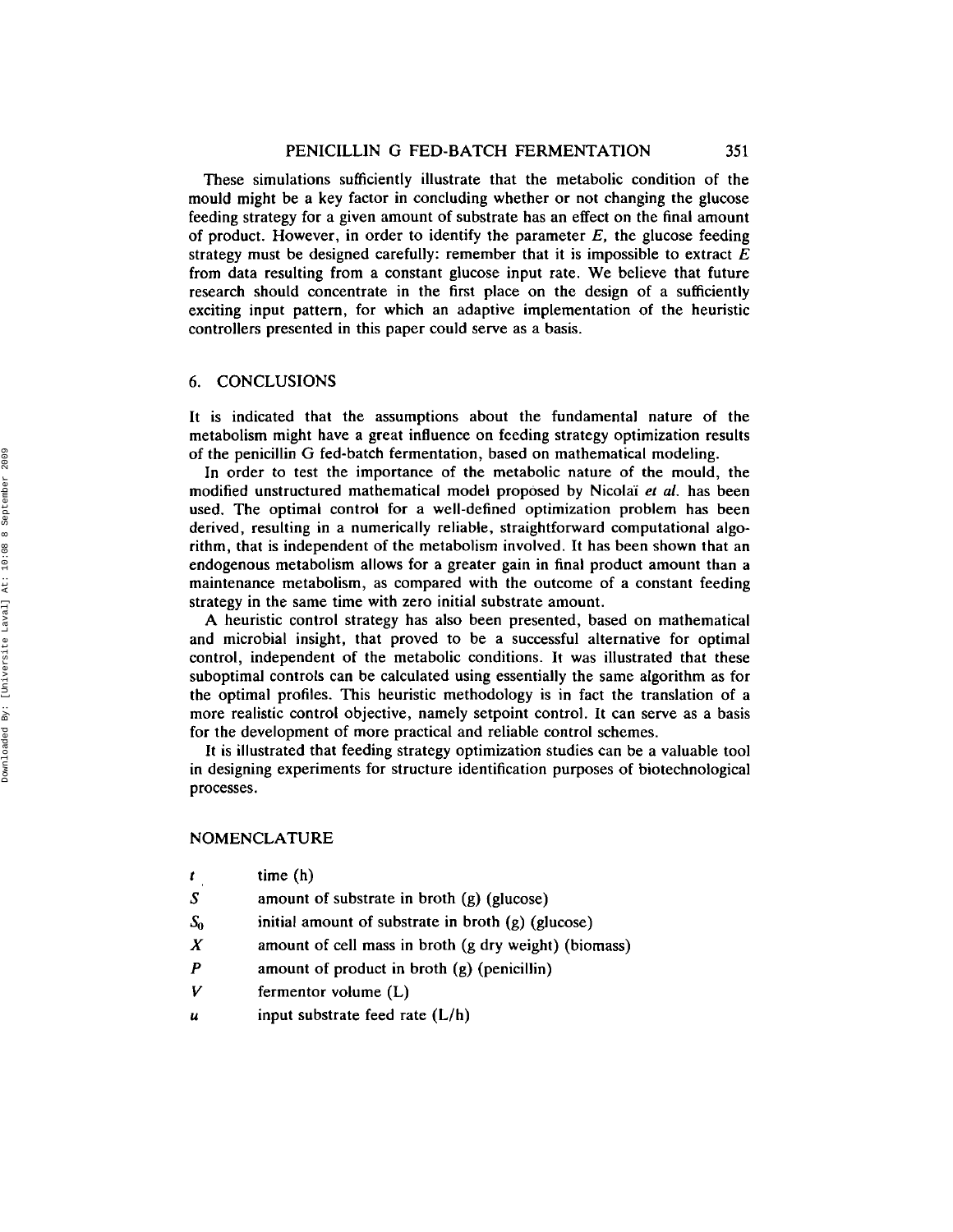These simulations sufficiently illustrate that the metabolic condition of the mould might be a key factor in concluding whether or not changing the glucose feeding strategy for a given amount of substrate has an effect on the final amount of product. However, in order to identify the parameter  $E$ , the glucose feeding strategy must be designed carefully: remember that it is impossible to extract *E* from data resulting from a constant glucose input rate. We believe that future research should concentrate in the first place on the design of a sufficiently exciting input pattern, for which an adaptive implementation of the heuristic controllers presented in this paper could serve as a basis.

### 6. CONCLUSIONS

It is indicated that the assumptions about the fundamental nature of the metabolism might have a great influence on feeding strategy optimization results of the penicillin G fed-batch fermentation, based on mathematical modeling.

In order to test the importance of the metabolic nature of the mould, the modified unstructured mathematical model proposed by Nicolai *et ai.* has been used. The optimal control for a well-defined optimization problem has been derived, resulting in a numerically reliable, straightforward computational algorithm, that is independent of the metabolism involved. It has been shown that an endogenous metabolism allows for a greater gain in final product amount than a maintenance metabolism, as compared with the outcome of a constant feeding strategy in the same time with zero initial substrate amount.

A heuristic control strategy has also been presented, based on mathematical and microbial insight, that proved to be a successful alternative for optimal control, independent of the metabolic conditions. It was illustrated that these suboptimal controls can be calculated using essentially the same algorithm as for the optimal profiles. This heuristic methodology is in fact the translation of a more realistic control objective, namely setpoint control. It can serve as a basis for the development of more practical and reliable control schemes.

It is illustrated that feeding strategy optimization studies can be a valuable tool in designing experiments for structure identification purposes of biotechnological processes.

## NOMENCLATURE

- time (h)  $\mathbf{r}$
- $S$  amount of substrate in broth (g) (glucose)
- $S_0$  initial amount of substrate in broth (g) (glucose)
- $X$  amount of cell mass in broth (g dry weight) (biomass)
- $P$  amount of product in broth (g) (penicillin)
- $V$  fermentor volume  $(L)$
- *u* input substrate feed rate (L/h)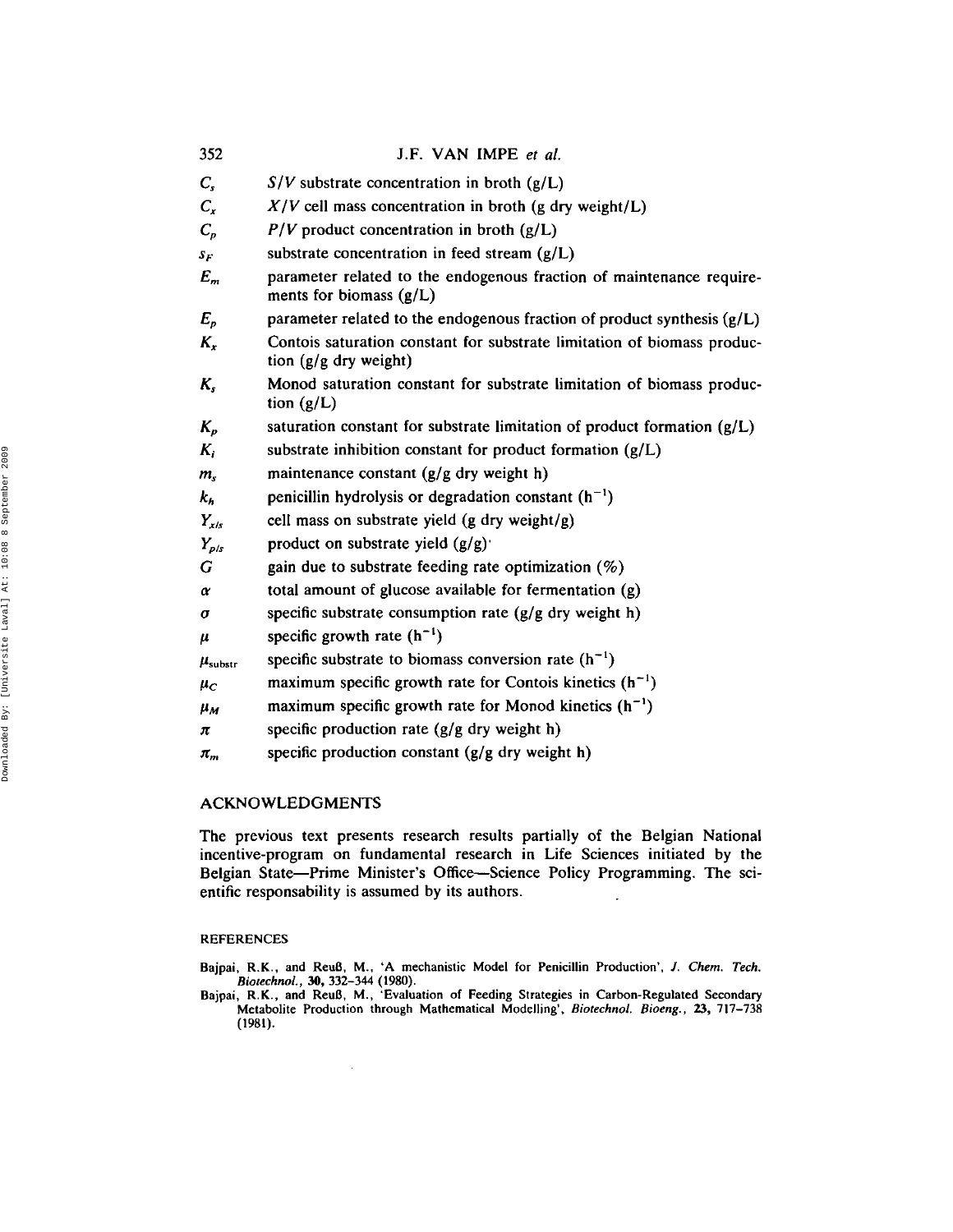| 352 |      | J.F. VAN IMPE et al. |  |  |
|-----|------|----------------------|--|--|
|     | ---- |                      |  |  |

- $C_{\rm r}$  $S/V$  substrate concentration in broth  $(g/L)$
- $X/V$  cell mass concentration in broth (g dry weight/L)  $C_{x}$
- $P/V$  product concentration in broth  $(g/L)$  $C_p$
- substrate concentration in feed stream  $(g/L)$  $s_F$
- $E_m$ parameter related to the endogenous fraction of maintenance requirements for biomass (g/L)
- $E_p$ parameter related to the endogenous fraction of product synthesis  $(g/L)$
- K, Contois saturation constant for substrate limitation of biomass production  $(g/g)$  dry weight)
- $K_{s}$ Monod saturation constant for substrate limitation of biomass production (g/L)
- $K_{p}$ saturation constant for substrate limitation of product formation  $(g/L)$
- K, substrate inhibition constant for product formation  $(g/L)$
- $m<sub>s</sub>$ maintenance constant  $(g/g$  dry weight h)
- penicillin hydrolysis or degradation constant  $(h^{-1})$  $k_h$
- $Y_{x/s}$ cell mass on substrate yield (g dry weight/g)
- $Y_{\text{p/s}}$ product on substrate yield  $(g/g)$
- G gain due to substrate feeding rate optimization  $(\% )$
- $\alpha$ total amount of glucose available for fermentation (g)
- *a* specific substrate consumption rate  $(g/g$  dry weight h)
- specific growth rate  $(h^{-1})$  $\mu$
- **Jlsubstr** specific substrate to biomass conversion rate  $(h^{-1})$
- maximum specific growth rate for Contois kinetics  $(h^{-1})$  $\mu_c$
- maximum specific growth rate for Monod kinetics  $(h^{-1})$  $\mu_M$
- specific production rate  $(g/g)$  dry weight h)  $\pi$
- specific production constant  $(g/g)$  dry weight h)  $\pi_m$

# ACKNOWLEDGMENTS

The previous text presents research results partially of the Belgian National incentive-program on fundamental research in Life Sciences initiated by the Belgian State-Prime Minister's Office-Science Policy Programming. The scientific responsability is assumed by its authors.

### **REFERENCES**

- Bajpai, R.K., and ReuB, M., 'A mechanistic Model for Penicillin Production', J. *Chern. Tech. Biotechnol.,* 30, 332-344 (1980).
- Bajpai, R.K., and Reub, M., 'Evaluation of Feeding Strategies in Carbon-Regulated Secondary Metabolite Production through Mathematical Modelling', *Biotechnol. Bioeng.,* 23, 717-738 (1981).